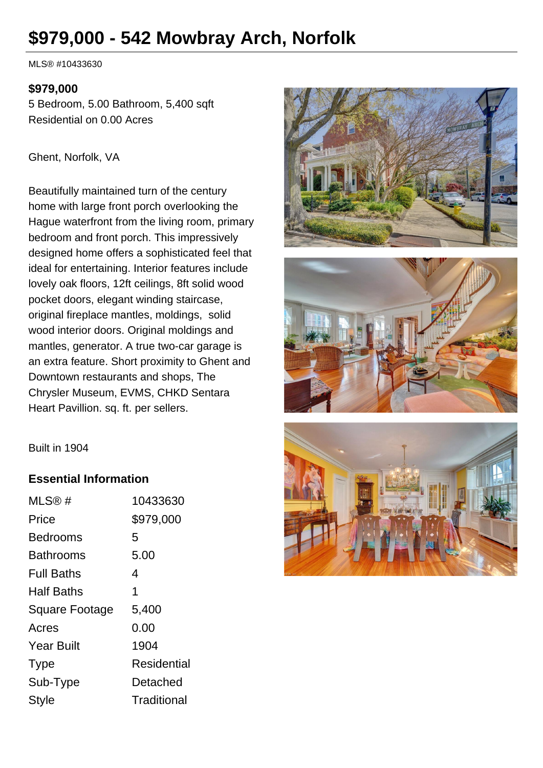# **\$979,000 - 542 Mowbray Arch, Norfolk**

MLS® #10433630

#### **\$979,000**

5 Bedroom, 5.00 Bathroom, 5,400 sqft Residential on 0.00 Acres

Ghent, Norfolk, VA

Beautifully maintained turn of the century home with large front porch overlooking the Hague waterfront from the living room, primary bedroom and front porch. This impressively designed home offers a sophisticated feel that ideal for entertaining. Interior features include lovely oak floors, 12ft ceilings, 8ft solid wood pocket doors, elegant winding staircase, original fireplace mantles, moldings, solid wood interior doors. Original moldings and mantles, generator. A true two-car garage is an extra feature. Short proximity to Ghent and Downtown restaurants and shops, The Chrysler Museum, EVMS, CHKD Sentara Heart Pavillion. sq. ft. per sellers.







#### **Essential Information**

| MLS@#                 | 10433630    |
|-----------------------|-------------|
| Price                 | \$979,000   |
| Bedrooms              | 5           |
| Bathrooms             | 5.00        |
| <b>Full Baths</b>     | 4           |
| <b>Half Baths</b>     | 1           |
| <b>Square Footage</b> | 5,400       |
| Acres                 | 0.00        |
| <b>Year Built</b>     | 1904        |
| <b>Type</b>           | Residential |
| Sub-Type              | Detached    |
| <b>Style</b>          | Traditional |

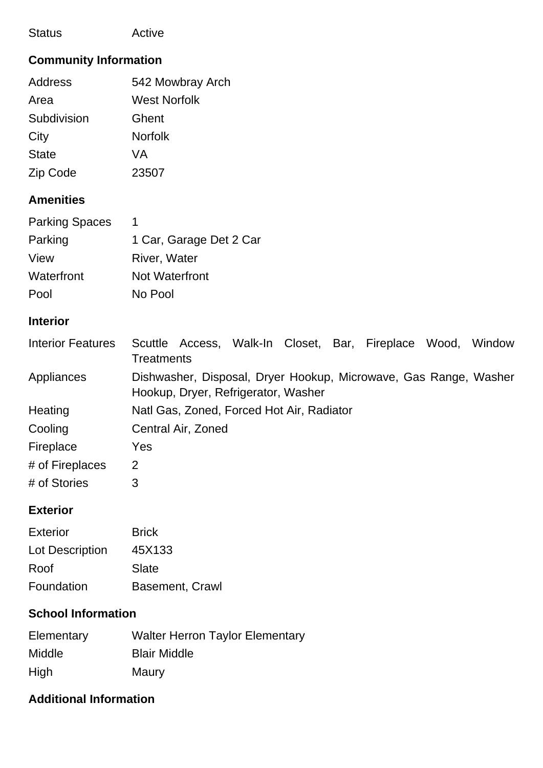| <b>Status</b>            | Active                                                                                                  |  |  |
|--------------------------|---------------------------------------------------------------------------------------------------------|--|--|
|                          | <b>Community Information</b>                                                                            |  |  |
| <b>Address</b>           | 542 Mowbray Arch                                                                                        |  |  |
| Area                     | <b>West Norfolk</b>                                                                                     |  |  |
| Subdivision              | Ghent                                                                                                   |  |  |
| City                     | <b>Norfolk</b>                                                                                          |  |  |
| <b>State</b>             | <b>VA</b>                                                                                               |  |  |
| Zip Code                 | 23507                                                                                                   |  |  |
| <b>Amenities</b>         |                                                                                                         |  |  |
| <b>Parking Spaces</b>    | $\mathbf 1$                                                                                             |  |  |
| Parking                  | 1 Car, Garage Det 2 Car                                                                                 |  |  |
| View                     | River, Water                                                                                            |  |  |
| Waterfront               | <b>Not Waterfront</b>                                                                                   |  |  |
| Pool                     | No Pool                                                                                                 |  |  |
| <b>Interior</b>          |                                                                                                         |  |  |
| <b>Interior Features</b> | Scuttle Access, Walk-In Closet, Bar, Fireplace Wood, Window<br><b>Treatments</b>                        |  |  |
| Appliances               | Dishwasher, Disposal, Dryer Hookup, Microwave, Gas Range, Washer<br>Hookup, Dryer, Refrigerator, Washer |  |  |
| Heating                  | Natl Gas, Zoned, Forced Hot Air, Radiator                                                               |  |  |
| Cooling                  | Central Air, Zoned                                                                                      |  |  |
| Fireplace                | Yes                                                                                                     |  |  |
| # of Fireplaces          | $\overline{2}$                                                                                          |  |  |
| # of Stories             | 3                                                                                                       |  |  |
| <b>Exterior</b>          |                                                                                                         |  |  |
| <b>Exterior</b>          | <b>Brick</b>                                                                                            |  |  |
|                          |                                                                                                         |  |  |

| Lot Description | 45X133                 |
|-----------------|------------------------|
| Roof            | Slate                  |
| Foundation      | <b>Basement, Crawl</b> |

#### **School Information**

| Elementary    | <b>Walter Herron Taylor Elementary</b> |
|---------------|----------------------------------------|
| <b>Middle</b> | <b>Blair Middle</b>                    |
| High          | Maury                                  |

### **Additional Information**